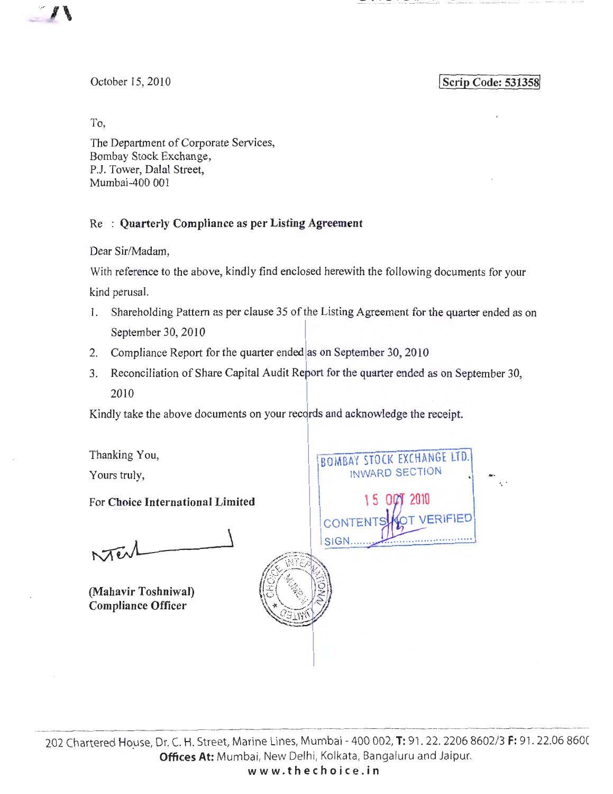

\_- \_•\_\_!\_ \_\_ ~· ~~ !\_! ~~ \_!1 **\_\_\_** -- ~··~!. <sup>~</sup>

October 15,2010

**Scrip Code: 531358** 

To,

The Department of Corporate Services, Bombay Stock Exchange, P.J. Tower, Dalal Street, Mumbai-400 00 I

## Re : **Quarterly Compliance as per Listing Agreement**

Dear Sir/Madam,

With reference to the above, kindly find enclosed herewith the following documents for your kind perusal.

- 1. Shareholding Pattern as per clause 35 of the Listing Agreement for the quarter ended as on I September 30, 2010
- 2. Compliance Report for the quarter ended as on September 30, 2010
- 3. Reconciliation of Share Capital Audit Refort for the quarter ended as on September 30, 2010

Kindly take the above documents on your recqrds and acknowledge the receipt.

Thanking You, BOMBAY STOCK EXCHANGE LTD. INWARD SECTION Yours truly, For **Choice International Limited**  CONTEN SIGN.  $N$ Terl  $\circledcirc$   $\circ$  $\mathbb{E}(\mathbb{E}[\mathbb{E}^{\infty},\mathbb{E}])$ **(Mahavir Toshniwal) Compliance Officer**   $\sqrt{\sqrt{2\,{\rm Im}\,V}}$ حساسات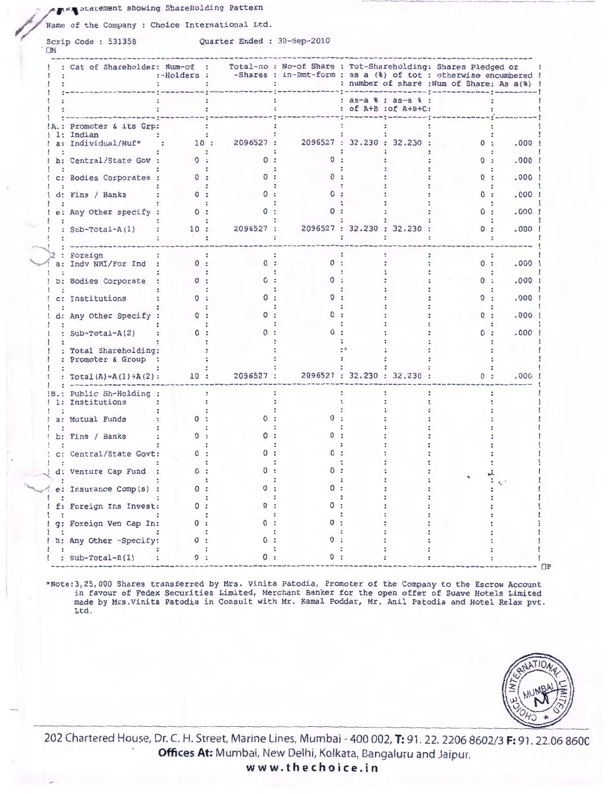### a www.statement showing ShareHolding Pattern

Name of the Company : Choice International Ltd.

Scrip Code : 531358

 $\square M$ 

Quarter Ended : 30-Sep-2010

|       | : Cat of Shareholder: Num-of :                | :-Holders : |                  | Total-no : No-of Share : Tot-Shareholding: Shares Pledged or<br>-Shares : in-Dmt-form : as a (%) of tot : otherwise encumbered ! |                                           | : number of share : Num of Share: As a(%) ! |          |
|-------|-----------------------------------------------|-------------|------------------|----------------------------------------------------------------------------------------------------------------------------------|-------------------------------------------|---------------------------------------------|----------|
|       |                                               |             |                  |                                                                                                                                  | : as-a % : as-a %<br>: of A+B : of A+B+C: |                                             |          |
|       | Promoter & its Grp:                           |             |                  |                                                                                                                                  |                                           |                                             |          |
| $a$ : | Indian<br>Individual/Huf*                     |             | 2096527 :<br>10: |                                                                                                                                  | 2096527: 32.230: 32.230:                  | 0:                                          | $.000$ ! |
|       | b: Central/State Gov :                        | 0:          |                  |                                                                                                                                  |                                           |                                             | .000     |
|       | c: Bodies Corporates :                        | 0:          |                  |                                                                                                                                  |                                           | 0:                                          | .000     |
|       | d: Fins / Banks                               | 0:          |                  |                                                                                                                                  |                                           | 0:                                          | .000     |
|       | e: Any Other specify :                        | 0:          | $^{\circ}$       |                                                                                                                                  |                                           | 0:                                          | .000     |
|       | : Sub-Total-A(1)                              | 10:         | 2096527 :        |                                                                                                                                  | 2096527 : 32.230 : 32.230 :               | 0:                                          | .000     |
|       | Foreign<br>a: Indv NRI/For Ind :              | 0:          | 0:               | 0:                                                                                                                               |                                           | 0:                                          | $.000$ ! |
|       | b: Bodies Corporate                           | 0:          | 0                |                                                                                                                                  |                                           | 0:                                          | .000     |
|       | c: Institutions                               | <u>n</u>    |                  |                                                                                                                                  |                                           | n                                           | .000     |
|       | d: Any Other Specify                          | 0:          |                  |                                                                                                                                  |                                           | 0                                           | .000     |
|       | : $Sub-Total-A(2)$                            | 0:          | 0                |                                                                                                                                  |                                           | 0                                           | .000     |
|       | : Total Shareholding:<br>: Promoter & Group : |             |                  |                                                                                                                                  |                                           |                                             |          |
|       | : $Total(A) = A(1) + A(2)$ :                  | 10:         | 2096527 :        |                                                                                                                                  | 2096527 : 32.230 : 32.230 :               | 0:                                          | .000     |
| 1:    | Public Sh-Holding :<br>Institutions           |             |                  |                                                                                                                                  |                                           |                                             |          |
| $a$ : | Mutual Funds                                  | 0           |                  |                                                                                                                                  |                                           |                                             |          |
|       | b: Fins / Banks                               |             |                  |                                                                                                                                  |                                           |                                             |          |
|       | c: Central/State Govt:                        |             |                  |                                                                                                                                  |                                           |                                             |          |
|       | d: Venture Cap Fund                           | 0:          |                  |                                                                                                                                  |                                           |                                             |          |
|       | e: Insurance Comp(s)                          | 0:          |                  |                                                                                                                                  |                                           |                                             |          |
|       | f: Foreign Ins Invest:                        | 0:          |                  |                                                                                                                                  |                                           |                                             |          |
|       | g: Foreign Ven Cap In:                        | 0:          |                  |                                                                                                                                  |                                           |                                             |          |
|       | h: Any Other -Specify:                        | $\Omega$ :  | 0                |                                                                                                                                  |                                           |                                             |          |
|       | $: Sub-Total-B(1)$                            |             |                  |                                                                                                                                  |                                           |                                             |          |

\*Note: 3, 25,000 Shares transferred by Mrs. Vinita Patodia, Promoter of the Company to the Escrow Account in favour of Fedex Securities Limited, Merchant Banker for the open offer of Suave Hotels Limited<br>made by Mrs. Vinita Patodia in Consult with Mr. Kamal Poddar, Mr. Anil Patodia and Hotel Relax pvt. Ltd.



202 Chartered House, Dr. C. H. Street, Marine Lines, Mumbai - 400 002, T: 91. 22. 2206 8602/3 F: 91. 22.06 8600 Offices At: Mumbai, New Delhi, Kolkata, Bangaluru and Jaipur. www.thechoice.in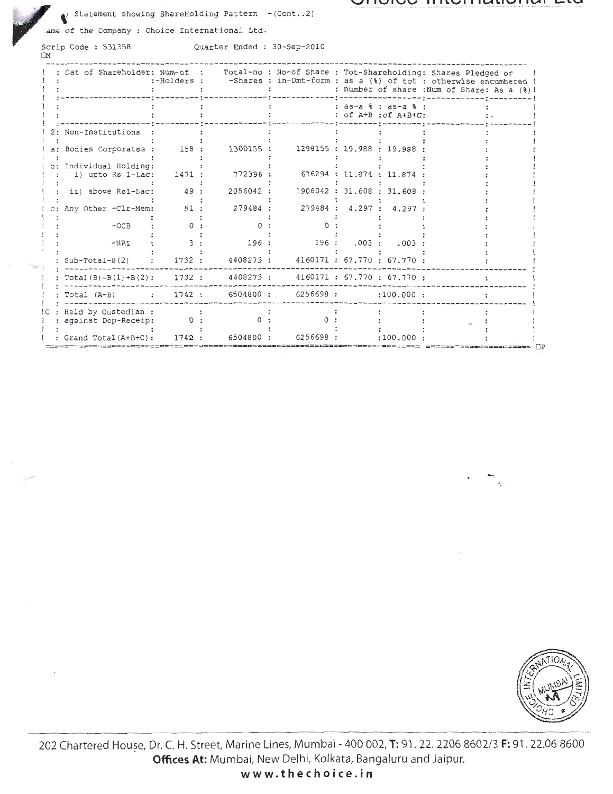#### VIIVIVU IIIIVIIIUIVIIVI L

Statement showing ShareHolding Pattern  $-(\text{Cont.}.2)$ 

ame of the Company : Choice International Ltd.

Scrip Code: 531358  $\square\mathbf{M}$ 

Quarter Ended : 30-Sep-2010

|      |                                              | :-Holders :       |           |           | Cat of Shareholder: Num-of : Total-no : No-of Share : Tot-Shareholding: Shares Pledged or<br>-Shares : in-Dmt-form : as a (%) of tot : otherwise encumbered !<br>: number of share : Num of Share: As a (%)! |
|------|----------------------------------------------|-------------------|-----------|-----------|--------------------------------------------------------------------------------------------------------------------------------------------------------------------------------------------------------------|
|      |                                              |                   |           |           | : $as-a$ $s$ : $as-a$ $s$ :<br>: of A+B : of A+A+C:                                                                                                                                                          |
|      | 2: Non-Institutions                          |                   |           |           |                                                                                                                                                                                                              |
|      | a: Bodies Corporates :                       | 158:              | 1300155 : |           | 1298155: 19.988: 19.988                                                                                                                                                                                      |
|      | b: Individual Holding:<br>i) upto Rs 1-Lac:  | 1471 :            | 772396 :  |           | 676294 : 11.874 : 11.874                                                                                                                                                                                     |
|      | ii) above Rs1-Lac:                           | 49                | 2056042 : |           | 1906042: 31.608: 31.608                                                                                                                                                                                      |
|      | Any Other -Clr-Mem:                          | 51:               | 279484 :  |           | 279484 : 4.297 :<br>4.297                                                                                                                                                                                    |
|      | $-OCB$                                       | $\Omega$          |           |           |                                                                                                                                                                                                              |
|      | $-NRI$                                       | ς                 | 196 :     | 196 :     | .003:<br>.003                                                                                                                                                                                                |
|      | $Sub-Total-B(2)$                             | 1732:             |           |           | 4408273 : 4160171 : 67.770 : 67.770 :                                                                                                                                                                        |
|      | $Total(B) = B(1) + B(2):$ 1732 :             |                   | 4408273 : |           | 4160171: 67.770: 67.770:                                                                                                                                                                                     |
|      | Total (A+B)                                  | $\mathbf{1742}$ : | 6504800:  | 6256698 : | :100.000:                                                                                                                                                                                                    |
| !C : | Held by Custodian :<br>: against Dep-Receip: |                   |           |           |                                                                                                                                                                                                              |
|      | : Grand Total (A+B+C):                       | 1742              | 6504800 : | 6256698 : | :100.000<br>$== \Box P$                                                                                                                                                                                      |



202 Chartered Houșe, Dr. C. H. Street, Marine Lines, Mumbai - 400 002, T: 91. 22. 2206 8602/3 F: 91. 22.06 8600 Offices At: Mumbai, New Delhi, Kolkata, Bangaluru and Jaipur.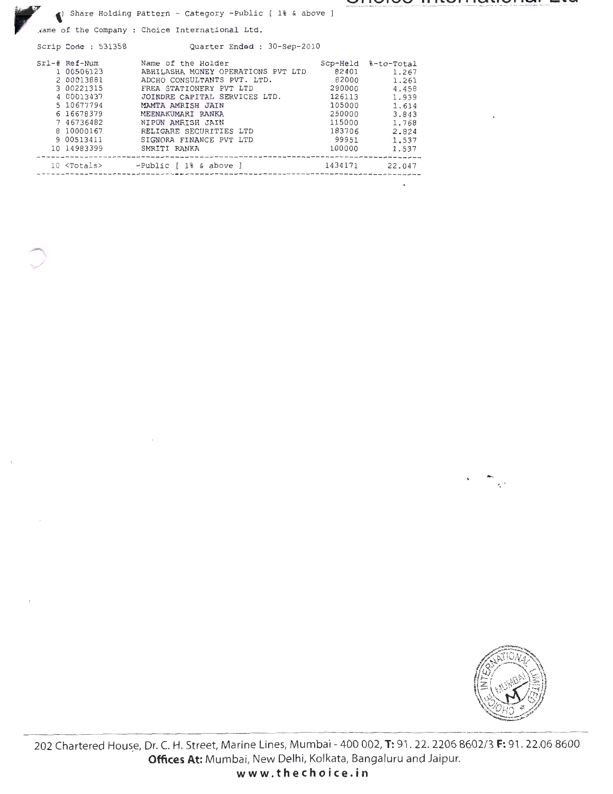Share Holding Pattern - Category -Public [ 1% & above ]

Aame of the Company : Choice International Ltd.

Scrip Code : 531358 Quarter Ended : 30-Sep-2010

| $Srl-#$ Ref-Num      | Name of the Holder                 | Scp-Held | %-to-Total |
|----------------------|------------------------------------|----------|------------|
| 1 00506123           | ABHILASHA MONEY OPERATIONS PVT LTD | 82401    | 1.267      |
| 2 00013881           | ADCHO CONSULTANTS PVT. LTD.        | 82000    | 1.261      |
| 3 00221315           | FREA STATIONERY PVT LTD            | 290000   | 4.458      |
| 4 00013437           | JOINDRE CAPITAL SERVICES LTD.      | 126113   | 1,939      |
| 5 10677794           | MAMTA AMRISH JAIN                  | 105000   | 1.614      |
| 6 16678379           | MEENAKUMARI RANKA                  | 250000   | 3.843      |
| 7 46736482           | NIPUN AMRISH JAIN                  | 115000   | 1.768      |
| 8 10000167           | RELIGARE SECURITIES LTD            | 183706   | 2.824      |
| 9 00513411           | SIGNORA FINANCE PVT LTD            | 99951    | 1.537      |
| 10 14983399          | SMRITI RANKA                       | 100000   | 1.537      |
| 10 <totals></totals> | $-Public \,   \, 1\$ & above $]$   | 1434171  | 22.047     |



202 Chartered House, Dr. C. H. Street, Marine Lines, Mumbai - 400 002, T: 91. 22. 2206 8602/3 F: 91. 22.06 8600 Offices At: Mumbai, New Delhi, Kolkata, Bangaluru and Jaipur.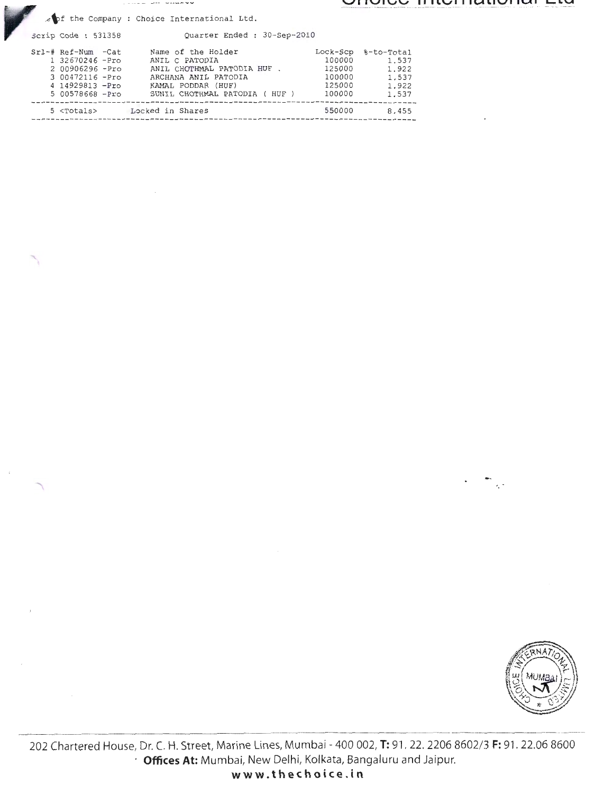consumer ondeco

**\.JIIUivC lllltjiJidliUIIdl LlU** 

pf the Company : Choice International Ltd.

 $\mathcal{A}$ 

Code : 531358 Quarter Ended : 30 -Sep-2010

| Srl-# Ref-Num -Cat  | Name of the Holder             | Lock-Scp | %-to-Total |
|---------------------|--------------------------------|----------|------------|
| 1 32670246 -Pro     | ANIL C PATODIA                 | 100000   | 1.537      |
| 2 00906296 -Pro     | ANIL CHOTHMAL PATODIA HUF.     | 125000   | 1,922      |
| 3 00472116 - Pro    | ARCHANA ANIL PATODIA           | 100000   | 1.537      |
| 4 14929813 - Pro    | KAMAL PODDAR (HUF)             | 125000   | 1.922      |
| 5 00578668 -Pro     | SUNIL CHOTHMAL PATODIA ( HUF ) | 100000   | 1.537      |
| 5 <totals></totals> | Locked in Shares               | 550000   | 8.455      |



202 Chartered House, Dr. C. H. Street, Marine Lines, Mumbai- 400 002, **T:** 91. 22. 2206 8602/ 3 **F:** 91 . 22.06 8600 **Offices At:** Mumbai, New Delhi, Kolkata, Bangaluru and Jaipur. **www.thechoice.in**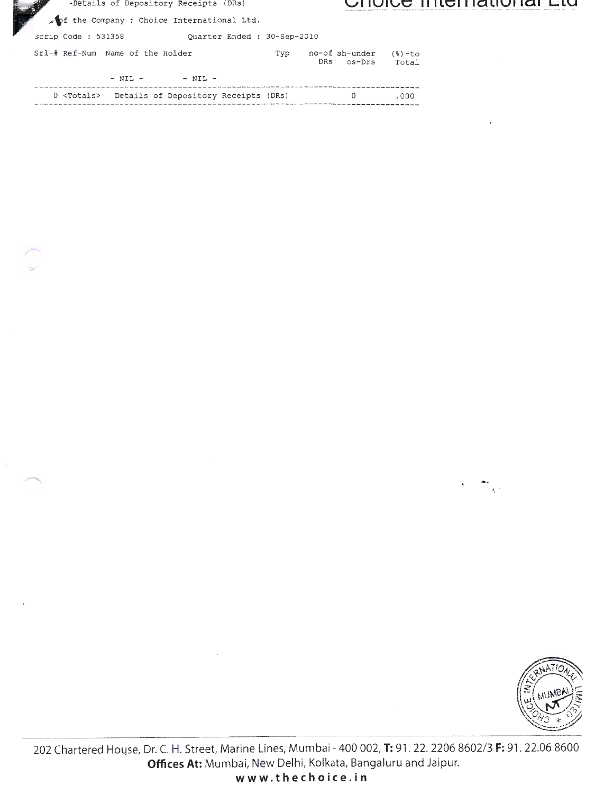| Details of Depository Receipts (DRs)               |     |                                 |                    | UNULE MENIQUURI LW |  |
|----------------------------------------------------|-----|---------------------------------|--------------------|--------------------|--|
| pf the Company : Choice International Ltd.         |     |                                 |                    |                    |  |
| script Code : 531358<br>Quarter Ended: 30-Sep-2010 |     |                                 |                    |                    |  |
| Srl-# Ref-Num Name of the Holder                   | Typ | no-of sh-under<br>os-Drs<br>DRs | $(8)-$ to<br>Total |                    |  |
| $-$ NIL $-$<br>$-$ NIL $-$                         |     |                                 |                    |                    |  |
|                                                    |     |                                 |                    |                    |  |

 $0 \qquad \qquad .000$ ---------------

 $\bar{1}$ 



 $\mathcal{A}_\mu$  :

202 Chartered House, Dr. C. H. Street, Marine Lines, Mumbai - 400 002, T: 91. 22. 2206 8602/3 F: 91. 22.06 8600 Offices At: Mumbai, New Delhi, Kolkata, Bangaluru and Jaipur. www.thechoice.in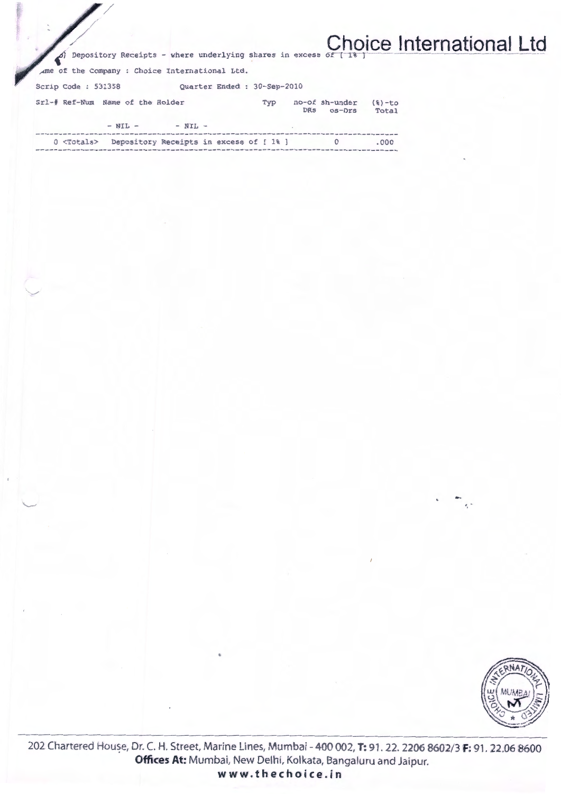| I |  |                                                                    |  |  | <b>Choice International Ltd</b> |  |
|---|--|--------------------------------------------------------------------|--|--|---------------------------------|--|
|   |  | A) Depository Receipts - where underlying shares in excess of [18] |  |  |                                 |  |

ame of the Company : Choice International Ltd.

Scrip Code: 531358 Quarter Ended : 30-Sep-2010

|  | Srl-# Ref-Num Name of the Holder |             | Tvp | $no-of-sh-under$ (%)-to<br>DRS os-Drs | Total |
|--|----------------------------------|-------------|-----|---------------------------------------|-------|
|  | $-$ NIL $-$                      | $-$ NIL $-$ |     |                                       |       |
|  |                                  |             |     |                                       |       |

| $0$ $<$ Totals $>$ | Depository Receipts in excess of [1%] |  |  | .000 |
|--------------------|---------------------------------------|--|--|------|
|                    |                                       |  |  |      |



 $\epsilon_{\rm e}$  .

202 Chartered House, Dr. C. H. Street, Marine Lines, Mumbai - 400 002, T: 91. 22. 2206 8602/3 F: 91. 22.06 8600 Offices At: Mumbai, New Delhi, Kolkata, Bangaluru and Jaipur. www.thechoice.in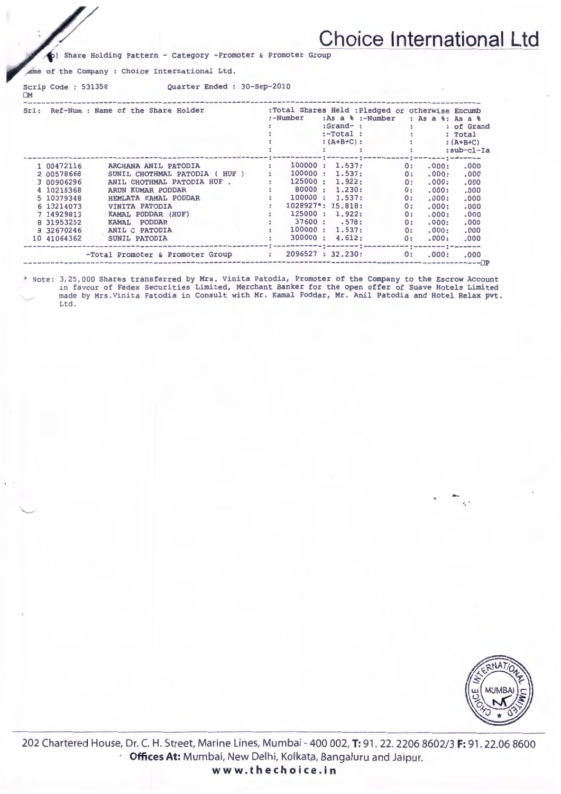# **Choice International Ltd**

(b) Share Holding Pattern - Category -Promoter & Promoter Group

ame of the Company : Choice International Ltd.

OM

 $\backslash$ 

Scrip Code : 531358 Quarter Ended : 30-Sep-2010

| Sri: |             | Ref-Num : Name of the Share Holder           |   | :Total Shares Held : Pledged or otherwise Encumb<br>:-Number | $:Grand-$ : | $: As a 8 : -Number$ | $:$ -Total :<br>: $(A+B+C)$ : :<br>the contract of the contract of the |                                 | : As a %: As a %<br>: of Grand<br>: Total<br>$:(A+B+C)$<br>:sub-cl-Ia |
|------|-------------|----------------------------------------------|---|--------------------------------------------------------------|-------------|----------------------|------------------------------------------------------------------------|---------------------------------|-----------------------------------------------------------------------|
|      | 1 00472116  | ARCHANA ANIL PATODIA                         |   | 100000:                                                      | 1.537:      |                      | 0:                                                                     | .000:                           | m : mww.www.w.c.und.nommu.w<br>.000                                   |
|      | 2 00578668  | SUNIL CHOTHMAL PATODIA ( HUF )               |   | 100000:                                                      | 1.537:      |                      | 0:                                                                     | .000:                           | .000                                                                  |
|      | 3 00906296  | ANIL CHOTHMAL PATODIA HUF.                   | ÷ | 125000:                                                      | 1.922:      |                      | 0:                                                                     | .000:                           | .000                                                                  |
|      | 4 10218368  | ARUN KUMAR PODDAR                            |   | 80000:                                                       | 1.230:      |                      | 0:                                                                     | .000:                           | .000                                                                  |
|      | 5 10379348  | HEMLATA KAMAL PODDAR                         |   | 100000:                                                      | 1.537:      |                      | 0:                                                                     | .000:                           | .000                                                                  |
|      | 6 13214073  | <b>VINITA PATODIA</b>                        |   | $1028927$ *: 15.818:                                         |             |                      | 0:                                                                     | .000:                           | .000                                                                  |
|      | 7 14929813  | KAMAL PODDAR (HUF)                           |   | 125000:                                                      | 1.922:      |                      | 0:                                                                     | .000:                           | .000                                                                  |
|      | 8 31953252  | PODDAR<br>KAMAL                              |   | 37600: .578:                                                 |             |                      | 0:                                                                     | .000:                           | .000                                                                  |
|      | 9 32670246  | the company of the company<br>ANIL C PATODIA |   | 100000 : 1.537:                                              |             |                      | 0:                                                                     | .000:                           | .000                                                                  |
|      | 10 41064362 | SUNIL PATODIA                                |   | 300000:                                                      | 4.612:      |                      | 0:                                                                     | .000:                           | .000                                                                  |
|      |             | -Total Promoter & Promoter Group :           |   | 2096527 : 32.230:                                            |             |                      | 0:                                                                     | --:------- <u>:</u> --<br>.000: | .000<br>-----⊡P                                                       |

### \* Note: 3,25,000 Shares transferred by Mrs. Vinita Patodia, Promoter of the Company to the Escrow Account in favour of Fedex Securities Limited, Merchant Banker for the open offer of Suave Hotels Limited <sup>~</sup>made by Mrs .Vinita Patodia in Consult with Mr . Kamal Poddar, Mr. Anil Patodia and Hotel Relax pvt. Ltd .



 $\sim$